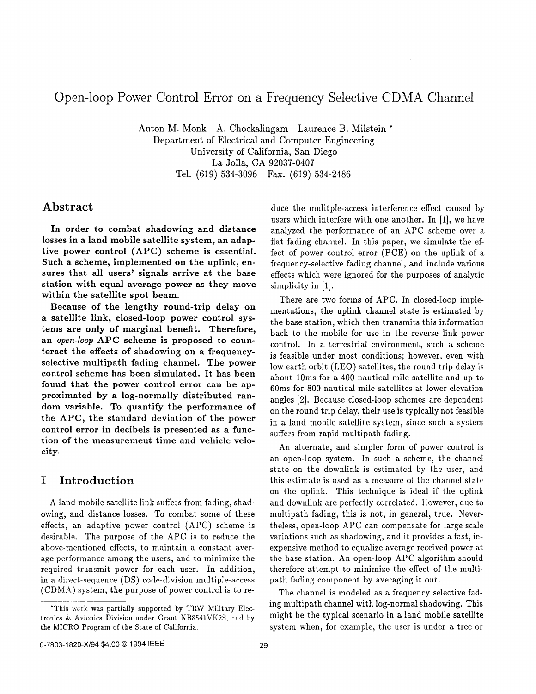# Open-loop Power Control Error on a Frequency Selective CDMA Channe

Anton M. Monk **A.** Chockalingam Laurence B. Milstein \* Department of Electrical and Computer Engineering University of California, San Diego La Jolla, CA **9203'7-0407**  Tel. **(619) 534-3096**  Fax. **(619) 534-2486** 

# **Abstract**

**In order to combat shadowing and distance**  losses in a land mobile satellite system, an adap**tive power control (APC) scheme is essential. Such a scheme, implemented on the uplink, ensures that all users' signals arrive at the base station with equal average power as they move within the satellite spot beam.** 

**Because of the lengthy round-trip delay on**  a satellite link, closed-loop power control sys**tems are only of marginal benefit. Therefore,**  an *open-loop* APC scheme is proposed to coun**teract the effects of shadowing on a frequency**selective multipath fading channel. The power **control scheme has been simulated. It has been found that the power control error can be approximated by a log-normally distributed random variable. To quantify the performance of the APC, the standard deviation of the power control error in decibels is presented as a function of the measurement time and vehicle velocity,** 

# **1 Introduction**

A land mobile satellite link suffers from fading, shadowing, and distance losses. To combat some of these effects, an adaptive power control (APC) scheme is desirable. The purpose of the APC is to reduce the above-mentioned effects, to maintain a constant average performance among the users, and to minimize the required transmit power for each user. In addition, in a direct-sequence (DS) code-division multiple-access (CDMA) system, the purpose of power control is to reduce the mulitple-access interference effect caused by users which interfere with one another. In [1], we have analyzed the performance of an APC scheme over a flat fading channel. In this paper, we simulate the effect of power control error (PCE) on the uplink of a frequency-selective fading channel, and include various effects which were ignored for the purposes of analytic simplicity in [1].

There are two forms of APC. In closed-loop implementations, the uplink channel state is estimated by the base station, which then transmits this information back to the mobile for use in the reverse link power control. In a terrestrial environment, such a scheme is feasible under most conditions; however, even with low earth orbit (LEO) satellites, the round trip delay is about 10ms for a 400 nautical mile satellite and up to 60ms for 800 nautical mile satellites at lower elevation angles [2]. Because closed-loop schemes are dependent on the round trip delay, their use is typically not feasible in a land mobile satellite system, since such a system suffers from rapid multipath fading.

**An** alternate, and simpler form of power control is an open-loop system. In such a scheme, the channel state on the downlink is estimated by the user, and this estimate is used as a measure of the channel state on the uplink. This technique is ideal if the uplink and downlink are perfectly correlated. However, due to multipath fading, this is not, in general, true. Nevertheless, open-loop APC can compensate for large scale variations such as shadowing, and it provides a fast, inexpensive method to equalize average received power at the base station. An open-loop **APC** algorithm should therefore attempt to minimize the effect of the multipath fading component by averaging it out.

The channel is modeled as a frequency selective fading multipath channel with log-normal shadowing. This might be the typical scenario in a land mobile satellite system when, for example, the user is under a tree or

<sup>&#</sup>x27;This wak **was** partially supported by TRW Military Electronics & Avionics Division under Grant NB8541VK2S, and by the MICRO Program of the State of California.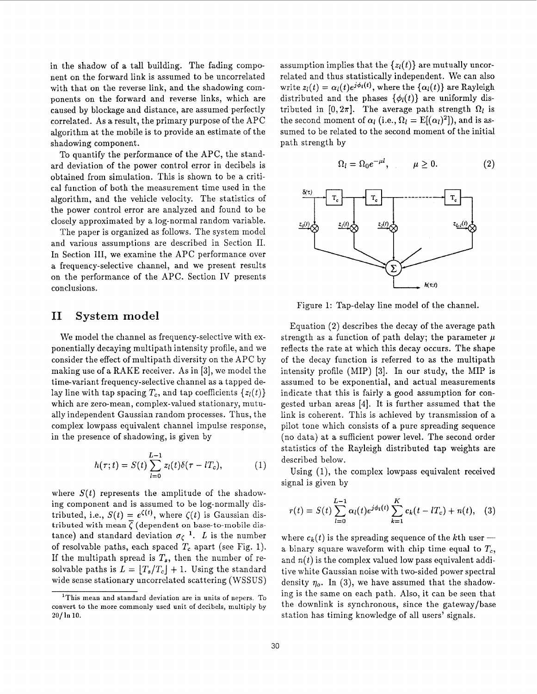in the shadow of a tall building. The fading component on the forward link is assumed to be uncorrelated with that on the reverse link, and the shadowing components on the forward and reverse links, which are caused by blockage and distance, are assumed perfectly correlated. As a result, the primary purpose of the APC algorithm at the mobile is to provide an estimate of the shadowing component.

To quantify the performance of the APC, the standard deviation of the power control error in decibels is obtained from simulation. This is shown to be a critical function of both the measurement time used in the algorithm, and the vehicle velocity. The statistics of the power control error are analyzed and found to be closely approximated by a log-normal random variable.

The paper is organized as follows. The system model and various assumptions are described in Section 11. In Section III, we examine the APC performance over a frequency-selective channel, and we present results on the performance of the APC. Section IV presents conclusions

### ystem model  $\bm{\Pi}$

We model the channel as frequency-selective with exponentially decaying multipath intensity profile, and we consider the effect of multipath diversity on the APC by making use of a RAKE receiver. As in **[3],** we model the time-variant frequency-selective channel as a tapped delay line with tap spacing  $T_c$ , and tap coefficients  $\{z_l(t)\}$ which are zero-mean, complex-valued stationary, mutually independent Gaussian random processes. Thus, the complex lowpass equivalent channel impulse response, in the presence of shadowing, is given by

$$
h(\tau;t) = S(t) \sum_{l=0}^{L-1} z_l(t) \delta(\tau - lT_c), \qquad (1)
$$

where  $S(t)$  represents the amplitude of the shadowing component and is assumed to be log-normally distributed, i.e.,  $S(t) = e^{\zeta(t)}$ , where  $\zeta(t)$  is Gaussian distributed with mean  $\overline{\zeta}$  (dependent on base-to-mobile distance) and standard deviation  $\sigma_{\zeta}^{-1}$ . *L* is the number of resolvable paths, each spaced *T,* apart (see Fig. 1). If the multipath spread is  $T_s$ , then the number of resolvable paths is  $L = \lfloor T_s/T_c \rfloor + 1$ . Using the standard wide sense stationary uncorrelated scattering (WSSUS)

assumption implies that the  $\{z_l(t)\}\$  are mutually uncorrelated and thus statistically independent. We can also write  $z_l(t) = \alpha_l(t)e^{j\phi_l(t)}$ , where the  $\{\alpha_l(t)\}\$  are Rayleigh distributed and the phases  $\{\phi_l(t)\}\$ are uniformly distributed in  $[0,2\pi]$ . The average path strength  $\Omega_l$  is the second moment of  $\alpha_l$  (i.e.,  $\Omega_l = \mathbb{E}[(\alpha_l)^2]$ ), and is assumed to be related to the second moment of the initial path strength by

$$
\Omega_l = \Omega_0 e^{-\mu l}, \qquad \mu \ge 0. \tag{2}
$$



Figure 1: Tap-delay line model of the channel.

Equation (2) describes the decay of the average path strength as a function of path delay; the parameter  $\mu$ reflects the rate at which this decay occurs. The shape of the decay function is referred to as the multipath intensity profile (MIP) [3]. In our study, the MIP is assumed to be exponential, and actual measurements indicate that this is fairly a good assumption for congested urban areas [4]. It is further assumed that the link is coherent. This is achieved by transmission of a pilot tone which consists of a pure spreading sequence (no data) at a sufficient power level. The second order statistics of the Rayleigh distributed tap weights are described below.

Using  $(1)$ , the complex lowpass equivalent received signal is given by

$$
r(t) = S(t) \sum_{l=0}^{L-1} \alpha_l(t) e^{j\phi_l(t)} \sum_{k=1}^{K} c_k(t - lT_c) + n(t), \quad (3)
$$

where  $c_k(t)$  is the spreading sequence of the kth user  $$ a binary square waveform with chip time equal to  $T_c$ , and  $n(t)$  is the complex valued low pass equivalent additive white Gaussian noise with two-sided power spectral density  $\eta_o$ . In (3), we have assumed that the shadowing is the same on each path. Also, it can be seen that the downlink is synchronous, since the gateway/base station has timing knowledge of all users' signals.

<sup>&</sup>lt;sup>1</sup>This mean and standard deviation are in units of nepers. To convert to the more commonly used unit of decibels, multiply by *201* In **10.**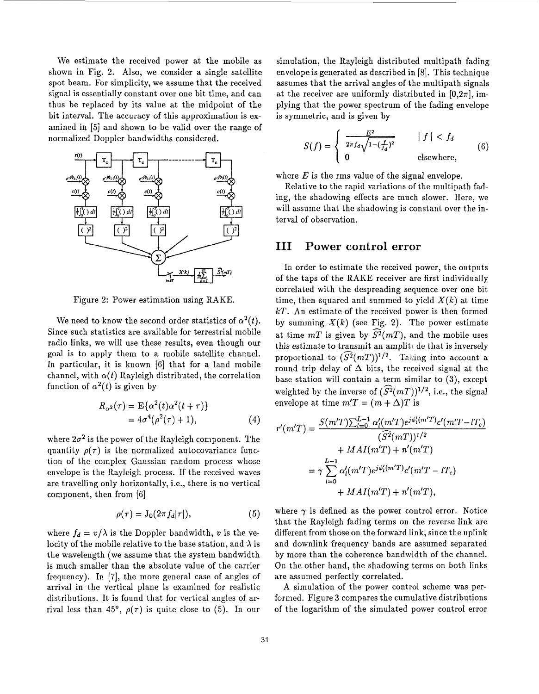We estimate the received power at the mobile as shown in Fig. 2. Also, we consider a single satellite spot beam. For simplicity, we assume that the received signal is essentially constant over one bit time, and can thus be replaced by its value at the midpoint of the bit interval. The accuracy of this approximation is examined in [5] and shown to be valid over the range of normalized Doppler bandwidths considered.



Figure 2: Power estimation using RAKE.

We need to know the second order statistics of  $\alpha^2(t)$ . Since such statistics are available for terrestrial mobile radio links, we will use these results, even though our goal is to apply them to a mobile satellite channel. In particular, it is known [6] that for a land mobile channel, with  $\alpha(t)$  Rayleigh distributed, the correlation function of  $\alpha^2(t)$  is given by

$$
R_{\alpha^2}(\tau) = \mathbf{E}\{\alpha^2(t)\alpha^2(t+\tau)\}
$$
  
=  $4\sigma^4(\rho^2(\tau)+1)$ , (4)

where  $2\sigma^2$  is the power of the Rayleigh component. The tion of the complex Gaussian random process whose envelope is the Rayleigh process. If the received waves quantity  $\rho(\tau)$  is the normalized autocovariance funcare travelling only horizontally, i.e., there is no vertical component, then from [6]

$$
\rho(\tau) = J_0(2\pi f_d|\tau|),\tag{5}
$$

where  $f_d = v/\lambda$  is the Doppler bandwidth, *v* is the velocity of the mobile relative to the base station, and  $\lambda$  is the wavelength (we assume that the system bandwidth is much smaller than the absolute value of the carrier frequency). In *[7],* the more general case of angles of arrival in the vertical plane is examined for realistic distributions. It is found that for vertical angles of arrival less than 45°,  $\rho(\tau)$  is quite close to (5). In our

simulation, the Rayleigh distributed multipath fading envelope is generated as described in [8]. This technique assumes that the arrival angles of the multipath signals at the receiver are uniformly distributed in  $[0,2\pi]$ , implying that the power spectrum of the fading envelope is symmetric, and is given by

$$
S(f) = \begin{cases} \frac{E^2}{2\pi f_d \sqrt{1 - (\frac{f}{f_d})^2}} & \quad |f| < f_d \\ 0 & \quad \text{elsewhere,} \end{cases} \tag{6}
$$

where *E* is the rms value of the signal envelope.

Relative to the rapid variations of the multipath fading, the shadowing effects are much slower. Here, we will assume that the shadowing is constant over the interval of observation.

### **111: Power control error**

In order to estimate the received power, the outputs of the taps of the RAKE receiver are first individually correlated with the despreading sequence over one bit time, then squared and summed to yield  $X(k)$  at time *kT.* An estimate of the received power is then formed by summing  $X(k)$  (see Fig. 2). The power estimate at time  $mT$  is given by  $\widehat{S}^2(mT)$ , and the mobile uses this estimate to transmit an amplit de that is inversely proportional to  $(\widehat{S}^2(mT))^{1/2}$ . Taking into account a round trip delay of  $\Delta$  bits, the received signal at the base station will contain a term similar to **(3),** except weighted by the inverse of  $(\widehat{S^2}(mT))^{1/2}$ , i.e., the signal envelope at time  $m'T = (m + \Delta)T$  is

$$
= 4\sigma^{4}(\rho^{2}(\tau) + 1),
$$
\n
$$
r'(m'T) = \frac{S(m'T)\sum_{l=0}^{L-1} \alpha'_{l}(m'T)e^{j\phi'_{l}(m'T)}c'(m'T - lT_{c})}{(\widehat{S}^{2}(mT))^{1/2}}
$$
\n
$$
= \gamma \sum_{l=0}^{L-1} \alpha'_{l}(m'T) + n'(m'T)
$$
\nGaussian random process whose  
\nright process. If the received waves  
\nrizontally, i.e., there is no vertical  
\n
$$
= \gamma \sum_{l=0}^{L-1} \alpha'_{l}(m'T)e^{j\phi'_{l}(m'T)}c'(m'T - lT_{c})
$$
\n
$$
+ MAI(m'T) + n'(m'T),
$$

where  $\gamma$  is defined as the power control error. Notice that the Rayleigh fading terms on the reverse link are different from those on the forward link, since the uplink and downlink frequency bands are assumed separated by more than the coherence bandwidth of the channel. On the other hand, the shadowing terms on both links are assumed perfectly correlated.

**A** simulation of the power control scheme was performed. Figure **3** compares the cumulative distributions of the logarithm of the simulated power control error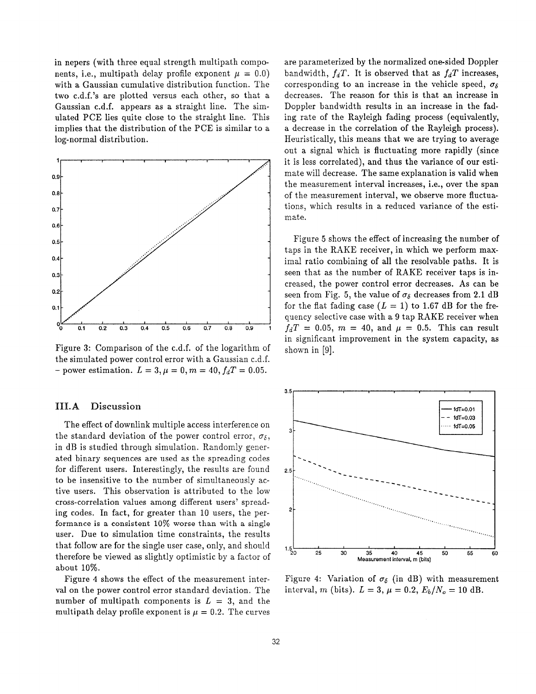in nepers (with three equal strength multipath components, i.e., multipath delay profile exponent  $\mu = 0.0$ ) with a Gaussian cumulative distribution function. The two c.d.f.'s are plotted versus each other, so that a Gaussian c.d.f. appears as a straight line. The simulated PCE lies quite close to the straight line. This implies that the distribution of the PCE is similar to a log-normal distribution.



Figure **3:** Comparison of the c.d.f. of the logarithm of the simulated power control error with a Gaussian c.d.f.  $-$  power estimation.  $L = 3, \mu = 0, m = 40, f_dT = 0.05$ .

#### **III.A** Discussion

The effect of downlink multiple access interference on the standard deviation of the power control error,  $\sigma_{\delta}$ , in dB is studied through simulation. Randomly generated binary sequences are used as the spreading codes for different users. Interestingly, the results are found to be insensitive to the number of simultaneously active users. This observation is attributed to the low cross-correlation values among different users' spreading codes. In fact, for greater than 10 users, the performance is a consistent **10%** worse than with a single user. Due to simulation time constraints, the results that follow are for the single user case, only, and should therefore be viewed as slightly optimistic by a factor of about 10%.

Figure **4** shows the effect of the measurement interval on the power control error standard deviation. The number of multipath components is  $L = 3$ , and the multipath delay profile exponent is  $\mu = 0.2$ . The curves

are parameterized by the normalized one-sided Doppler bandwidth,  $f_dT$ . It is observed that as  $f_dT$  increases, corresponding to an increase in the vehicle speed,  $\sigma_{\delta}$ decreases. The reason for this is that an increase in Doppler bandwidth results in an increase in the fading rate of the Rayleigh fading process (equivalently, a decrease in the correlation of the Rayleigh process). Heuristically, this means that we are trying to average out a signal which is fluctuating more rapidly (since it is less correlated), and thus the variance of our estimate will decrease. The same explanation is valid when the measurement interval increases, i.e., over the span of the measurement interval, we observe more fluctuations, which results in a reduced variance of the estimate.

Figure 5 shows the effect of increasing the number of taps in the RAKE receiver, in which we perform maximal ratio combining of all the resolvable paths. It is seen that as the number of RAKE receiver taps is increased, the power control error decreases. **As** can be seen from Fig. 5, the value of  $\sigma_{\delta}$  decreases from 2.1 dB for the flat fading case  $(L = 1)$  to 1.67 dB for the frequency selective case with a 9 tap RAKE receiver when  $f_dT = 0.05$ ,  $m = 40$ , and  $\mu = 0.5$ . This can result in significant improvement in the system capacity, as shown in [9].



Figure 4: Variation of  $\sigma_{\delta}$  (in dB) with measurement interval, *m* (bits).  $L = 3$ ,  $\mu = 0.2$ ,  $E_b/N_o = 10$  dB.